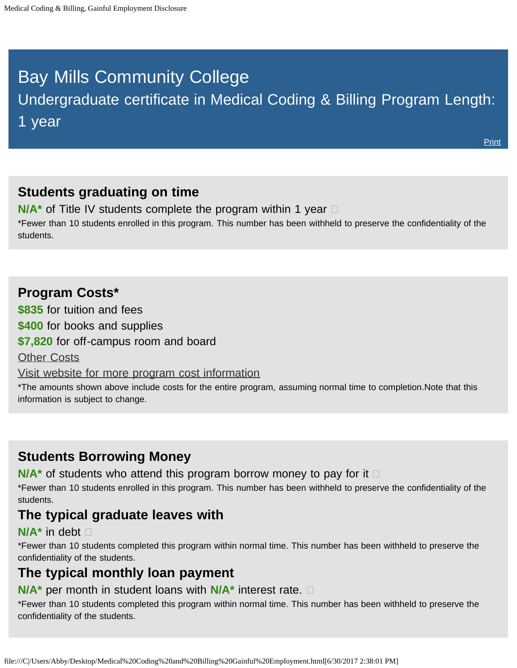# <span id="page-0-0"></span>Bay Mills Community College

Undergraduate certificate in Medical Coding & Billing Program Length:

1 year

**[Print](file:///C|/Users/Abby/Desktop/51.0716-GedtPrint.html)** 

## **Students graduating on time**

**N/A<sup>\*</sup>** of Title IV students complete the program within 1 year  $\Box$ \*Fewer than 10 students enrolled in this program. This number has been withheld to preserve the confidentiality of the students.

## **Program Costs\***

**\$835** for tuition and fees

**\$400** for books and supplies

**\$7,820** for off-campus room and board

[Other Costs](#page-0-0)

[Visit website for more program cost information](http://bmcc.edu/admissions/financial-aid/understanding-tuition)

\*The amounts shown above include costs for the entire program, assuming normal time to completion.Note that this information is subject to change.

## **Students Borrowing Money**

**N/A<sup>\*</sup>** of students who attend this program borrow money to pay for it  $\Box$ 

\*Fewer than 10 students enrolled in this program. This number has been withheld to preserve the confidentiality of the students.

## **The typical graduate leaves with**

#### **N/A\*** in debt

\*Fewer than 10 students completed this program within normal time. This number has been withheld to preserve the confidentiality of the students.

## **The typical monthly loan payment**

#### **N/A\*** per month in student loans with **N/A\*** interest rate.

\*Fewer than 10 students completed this program within normal time. This number has been withheld to preserve the confidentiality of the students.